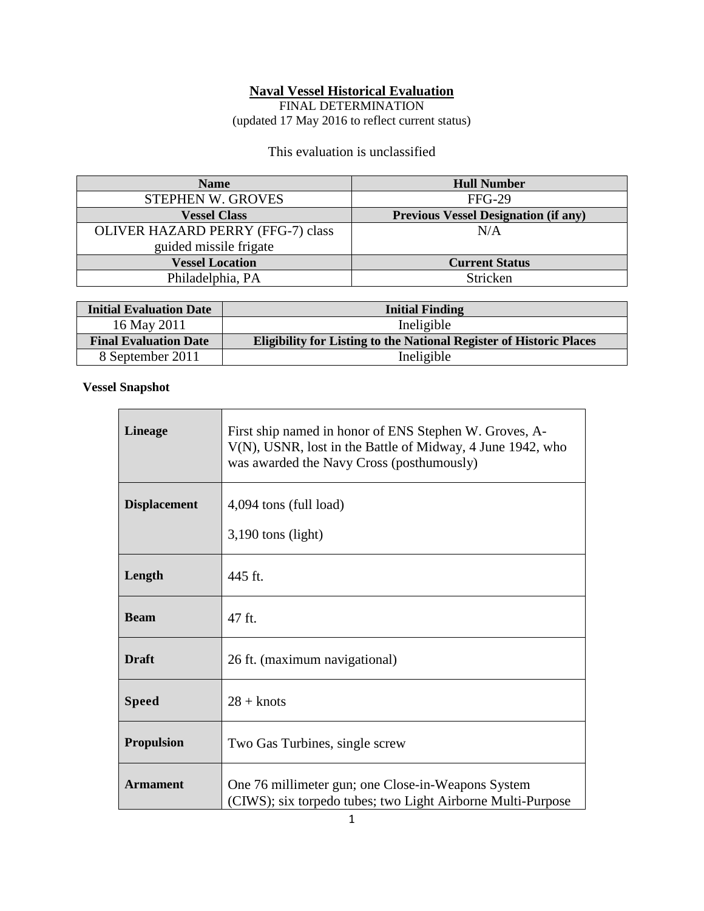#### **Naval Vessel Historical Evaluation**

FINAL DETERMINATION (updated 17 May 2016 to reflect current status)

## This evaluation is unclassified

| <b>Name</b>                              | <b>Hull Number</b>                          |
|------------------------------------------|---------------------------------------------|
| <b>STEPHEN W. GROVES</b>                 | <b>FFG-29</b>                               |
| <b>Vessel Class</b>                      | <b>Previous Vessel Designation (if any)</b> |
| <b>OLIVER HAZARD PERRY (FFG-7) class</b> | N/A                                         |
| guided missile frigate                   |                                             |
| <b>Vessel Location</b>                   | <b>Current Status</b>                       |
| Philadelphia, PA                         | Stricken                                    |

| <b>Initial Evaluation Date</b> | <b>Initial Finding</b>                                                     |
|--------------------------------|----------------------------------------------------------------------------|
| 16 May 2011                    | Ineligible                                                                 |
| <b>Final Evaluation Date</b>   | <b>Eligibility for Listing to the National Register of Historic Places</b> |
| 8 September 2011               | Ineligible                                                                 |

## **Vessel Snapshot**

 $\mathbf{r}$ 

| <b>Lineage</b>      | First ship named in honor of ENS Stephen W. Groves, A-<br>V(N), USNR, lost in the Battle of Midway, 4 June 1942, who<br>was awarded the Navy Cross (posthumously) |
|---------------------|-------------------------------------------------------------------------------------------------------------------------------------------------------------------|
| <b>Displacement</b> | 4,094 tons (full load)<br>$3,190$ tons (light)                                                                                                                    |
| Length              | 445 ft.                                                                                                                                                           |
| <b>Beam</b>         | 47 ft.                                                                                                                                                            |
| <b>Draft</b>        | 26 ft. (maximum navigational)                                                                                                                                     |
| <b>Speed</b>        | $28 +$ knots                                                                                                                                                      |
| <b>Propulsion</b>   | Two Gas Turbines, single screw                                                                                                                                    |
| <b>Armament</b>     | One 76 millimeter gun; one Close-in-Weapons System<br>(CIWS); six torpedo tubes; two Light Airborne Multi-Purpose                                                 |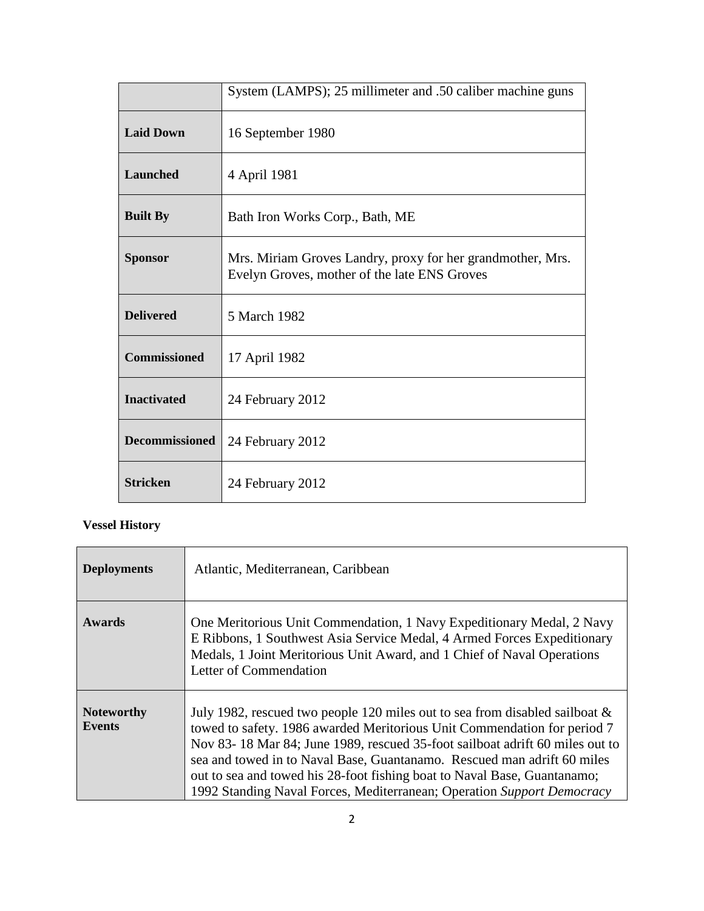|                       | System (LAMPS); 25 millimeter and .50 caliber machine guns                                                 |
|-----------------------|------------------------------------------------------------------------------------------------------------|
| <b>Laid Down</b>      | 16 September 1980                                                                                          |
| <b>Launched</b>       | 4 April 1981                                                                                               |
| <b>Built By</b>       | Bath Iron Works Corp., Bath, ME                                                                            |
| <b>Sponsor</b>        | Mrs. Miriam Groves Landry, proxy for her grandmother, Mrs.<br>Evelyn Groves, mother of the late ENS Groves |
| <b>Delivered</b>      | 5 March 1982                                                                                               |
| <b>Commissioned</b>   | 17 April 1982                                                                                              |
| <b>Inactivated</b>    | 24 February 2012                                                                                           |
| <b>Decommissioned</b> | 24 February 2012                                                                                           |
| <b>Stricken</b>       | 24 February 2012                                                                                           |

# **Vessel History**

| <b>Deployments</b>                 | Atlantic, Mediterranean, Caribbean                                                                                                                                                                                                                                                                                                                                                                                                                                          |
|------------------------------------|-----------------------------------------------------------------------------------------------------------------------------------------------------------------------------------------------------------------------------------------------------------------------------------------------------------------------------------------------------------------------------------------------------------------------------------------------------------------------------|
| Awards                             | One Meritorious Unit Commendation, 1 Navy Expeditionary Medal, 2 Navy<br>E Ribbons, 1 Southwest Asia Service Medal, 4 Armed Forces Expeditionary<br>Medals, 1 Joint Meritorious Unit Award, and 1 Chief of Naval Operations<br>Letter of Commendation                                                                                                                                                                                                                       |
| <b>Noteworthy</b><br><b>Events</b> | July 1982, rescued two people 120 miles out to sea from disabled sailboat $\&$<br>towed to safety. 1986 awarded Meritorious Unit Commendation for period 7<br>Nov 83-18 Mar 84; June 1989, rescued 35-foot sailboat adrift 60 miles out to<br>sea and towed in to Naval Base, Guantanamo. Rescued man adrift 60 miles<br>out to sea and towed his 28-foot fishing boat to Naval Base, Guantanamo;<br>1992 Standing Naval Forces, Mediterranean; Operation Support Democracy |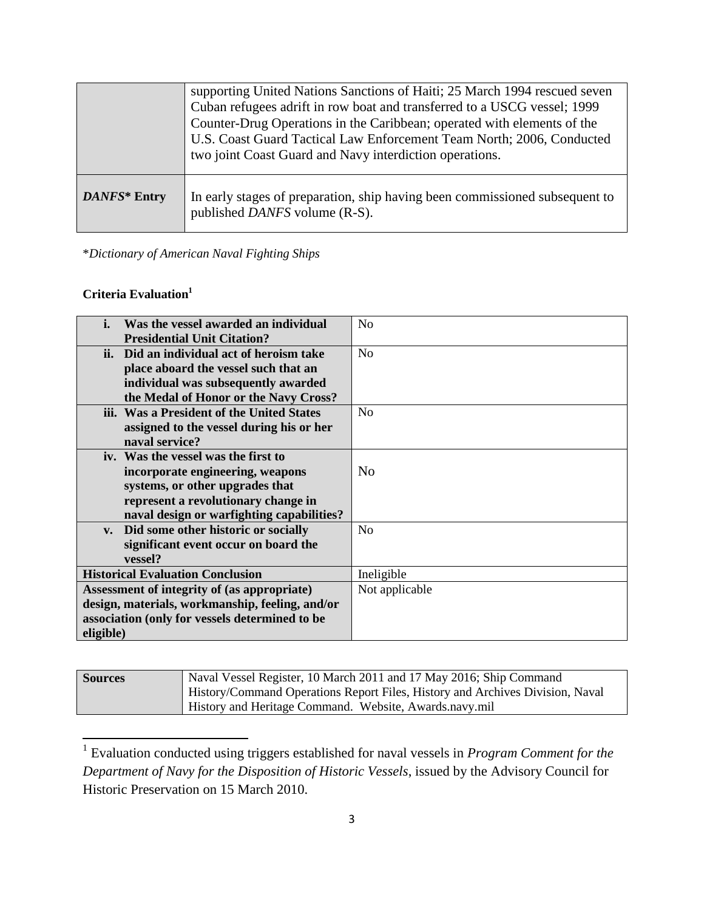|              | supporting United Nations Sanctions of Haiti; 25 March 1994 rescued seven<br>Cuban refugees adrift in row boat and transferred to a USCG vessel; 1999<br>Counter-Drug Operations in the Caribbean; operated with elements of the<br>U.S. Coast Guard Tactical Law Enforcement Team North; 2006, Conducted<br>two joint Coast Guard and Navy interdiction operations. |
|--------------|----------------------------------------------------------------------------------------------------------------------------------------------------------------------------------------------------------------------------------------------------------------------------------------------------------------------------------------------------------------------|
| DANFS* Entry | In early stages of preparation, ship having been commissioned subsequent to<br>published <i>DANFS</i> volume (R-S).                                                                                                                                                                                                                                                  |

\**Dictionary of American Naval Fighting Ships*

## **Criteria Evaluation<sup>1</sup>**

| i.                                              | Was the vessel awarded an individual        | No             |
|-------------------------------------------------|---------------------------------------------|----------------|
|                                                 | <b>Presidential Unit Citation?</b>          |                |
|                                                 | ii. Did an individual act of heroism take   | N <sub>0</sub> |
|                                                 | place aboard the vessel such that an        |                |
|                                                 | individual was subsequently awarded         |                |
|                                                 | the Medal of Honor or the Navy Cross?       |                |
|                                                 | iii. Was a President of the United States   | No             |
|                                                 | assigned to the vessel during his or her    |                |
|                                                 | naval service?                              |                |
|                                                 | iv. Was the vessel was the first to         |                |
|                                                 | incorporate engineering, weapons            | N <sub>0</sub> |
|                                                 | systems, or other upgrades that             |                |
|                                                 | represent a revolutionary change in         |                |
|                                                 | naval design or warfighting capabilities?   |                |
| $V_{\bullet}$                                   | Did some other historic or socially         | N <sub>0</sub> |
|                                                 | significant event occur on board the        |                |
|                                                 | vessel?                                     |                |
|                                                 | <b>Historical Evaluation Conclusion</b>     | Ineligible     |
|                                                 | Assessment of integrity of (as appropriate) | Not applicable |
| design, materials, workmanship, feeling, and/or |                                             |                |
| association (only for vessels determined to be  |                                             |                |
| eligible)                                       |                                             |                |

| <b>Sources</b> | Naval Vessel Register, 10 March 2011 and 17 May 2016; Ship Command            |
|----------------|-------------------------------------------------------------------------------|
|                | History/Command Operations Report Files, History and Archives Division, Naval |
|                | History and Heritage Command. Website, Awards.navy.mil                        |

 1 Evaluation conducted using triggers established for naval vessels in *Program Comment for the Department of Navy for the Disposition of Historic Vessels*, issued by the Advisory Council for Historic Preservation on 15 March 2010.